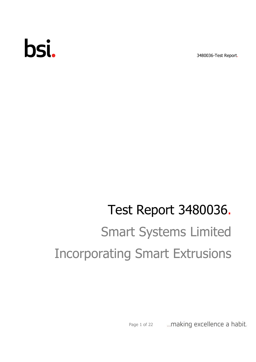# bsi.

3480036-Test Report.

## Test Report 3480036. Smart Systems Limited Incorporating Smart Extrusions

... making excellence a habit. Page 1 of 22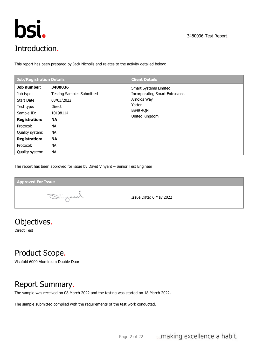



This report has been prepared by Jack Nicholls and relates to the activity detailed below:

| Job/Registration Details                                                                                 |                                                                                                           | <b>Client Details</b>                                                                                                               |
|----------------------------------------------------------------------------------------------------------|-----------------------------------------------------------------------------------------------------------|-------------------------------------------------------------------------------------------------------------------------------------|
| Job number:<br>Job type:<br>Start Date:<br>Test type:<br>Sample ID:<br><b>Registration:</b><br>Protocol: | 3480036<br><b>Testing Samples Submitted</b><br>08/03/2022<br>Direct<br>10198114<br><b>NA</b><br><b>NA</b> | <b>Smart Systems Limited</b><br><b>Incorporating Smart Extrusions</b><br>Arnolds Way<br>Yatton<br><b>BS49 4QN</b><br>United Kingdom |
| Quality system:<br><b>Registration:</b>                                                                  | <b>NA</b><br><b>NA</b>                                                                                    |                                                                                                                                     |
| Protocol:<br>Quality system:                                                                             | <b>NA</b><br><b>NA</b>                                                                                    |                                                                                                                                     |

The report has been approved for issue by David Vinyard – Senior Test Engineer

| <b>Approved For Issue</b> |                        |
|---------------------------|------------------------|
| Dinjere                   | Issue Date: 6 May 2022 |

## Objectives.

Direct Test

## Product Scope.

Visofold 6000 Aluminium Double Door

## Report Summary.

The sample was received on 08 March 2022 and the testing was started on 18 March 2022.

The sample submitted complied with the requirements of the test work conducted.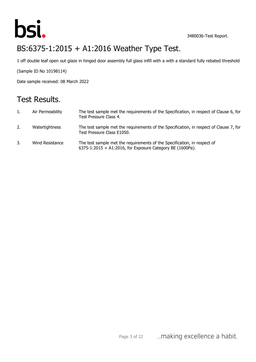

## BS:6375-1:2015 + A1:2016 Weather Type Test.

1 off double leaf open out glaze in hinged door assembly full glass infill with a with a standard fully rebated threshold

(Sample ID No 10198114)

Date sample received: 08 March 2022

## Test Results.

| 1. | Air Permeability | The test sample met the requirements of the Specification, in respect of Clause 6, for<br>Test Pressure Class 4.                      |
|----|------------------|---------------------------------------------------------------------------------------------------------------------------------------|
| 2. | Watertightness   | The test sample met the requirements of the Specification, in respect of Clause 7, for<br>Test Pressure Class E1050.                  |
| 3. | Wind Resistance  | The test sample met the requirements of the Specification, in respect of<br>6375-1:2015 + A1:2016, for Exposure Category BE (1600Pa). |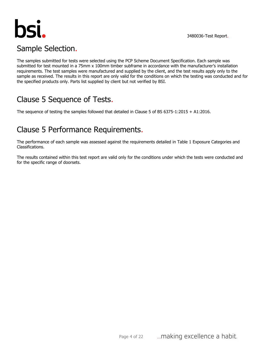

## Sample Selection.

The samples submitted for tests were selected using the PCP Scheme Document Specification. Each sample was submitted for test mounted in a 75mm x 100mm timber subframe in accordance with the manufacturer's installation requirements. The test samples were manufactured and supplied by the client, and the test results apply only to the sample as received. The results in this report are only valid for the conditions on which the testing was conducted and for the specified products only. Parts list supplied by client but not verified by BSI.

## Clause 5 Sequence of Tests.

The sequence of testing the samples followed that detailed in Clause 5 of BS 6375-1:2015 + A1:2016.

## Clause 5 Performance Requirements.

The performance of each sample was assessed against the requirements detailed in Table 1 Exposure Categories and Classifications.

The results contained within this test report are valid only for the conditions under which the tests were conducted and for the specific range of doorsets.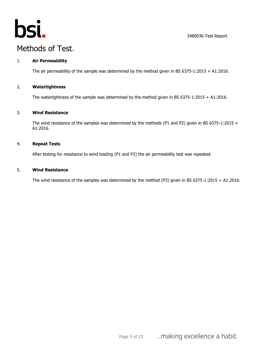

## Methods of Test.

#### 1. **Air Permeability**

The air permeability of the sample was determined by the method given in BS 6375-1:2015 + A1:2016.

#### 2. **Watertightness**

The watertightness of the sample was determined by the method given in BS 6375-1:2015 + A1:2016.

#### 3. **Wind Resistance**

The wind resistance of the samples was determined by the methods (P1 and P2) given in BS 6375-1:2015 + A1:2016.

#### 4. **Repeat Tests**

After testing for resistance to wind loading (P1 and P2) the air permeability test was repeated.

#### 5. **Wind Resistance**

The wind resistance of the samples was determined by the method (P3) given in BS 6375-1:2015 + A1:2016.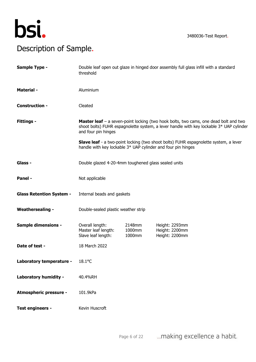

## Description of Sample.

| Sample Type -                   | Double leaf open out glaze in hinged door assembly full glass infill with a standard<br>threshold                                                                                                             |                            |                                                                                             |  |
|---------------------------------|---------------------------------------------------------------------------------------------------------------------------------------------------------------------------------------------------------------|----------------------------|---------------------------------------------------------------------------------------------|--|
| <b>Material -</b>               | Aluminium                                                                                                                                                                                                     |                            |                                                                                             |  |
| <b>Construction -</b>           | Cleated                                                                                                                                                                                                       |                            |                                                                                             |  |
| <b>Fittings -</b>               | <b>Master leaf</b> - a seven-point locking (two hook bolts, two cams, one dead bolt and two<br>shoot bolts) FUHR espagnolette system, a lever handle with key lockable 3* UAP cylinder<br>and four pin hinges |                            |                                                                                             |  |
|                                 | handle with key lockable 3* UAP cylinder and four pin hinges                                                                                                                                                  |                            | <b>Slave leaf</b> - a two-point locking (two shoot bolts) FUHR espagnolette system, a lever |  |
| Glass -                         | Double glazed 4-20-4mm toughened glass sealed units                                                                                                                                                           |                            |                                                                                             |  |
| Panel -                         | Not applicable                                                                                                                                                                                                |                            |                                                                                             |  |
| <b>Glass Retention System -</b> | Internal beads and gaskets                                                                                                                                                                                    |                            |                                                                                             |  |
| <b>Weathersealing -</b>         | Double-sealed plastic weather strip                                                                                                                                                                           |                            |                                                                                             |  |
| <b>Sample dimensions -</b>      | Overall length:<br>Master leaf length:<br>Slave leaf length:                                                                                                                                                  | 2148mm<br>1000mm<br>1000mm | Height: 2293mm<br>Height: 2200mm<br>Height: 2200mm                                          |  |
| Date of test -                  | 18 March 2022                                                                                                                                                                                                 |                            |                                                                                             |  |
| Laboratory temperature -        | 18.1°C                                                                                                                                                                                                        |                            |                                                                                             |  |
| Laboratory humidity -           | 40.4%RH                                                                                                                                                                                                       |                            |                                                                                             |  |
| <b>Atmospheric pressure -</b>   | 101.9kPa                                                                                                                                                                                                      |                            |                                                                                             |  |
| Test engineers -                | Kevin Huscroft                                                                                                                                                                                                |                            |                                                                                             |  |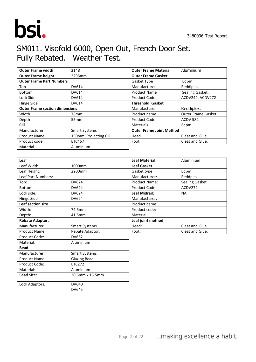

## SM011. Visofold 6000, Open Out, French Door Set. Fully Rebated. Weather Test.

| <b>Outer Frame width</b>              | 2148                  | <b>Outer Frame Material</b>     | Aluminium                 |
|---------------------------------------|-----------------------|---------------------------------|---------------------------|
| <b>Outer Frame height</b>             | 2293mm                | <b>Outer Frame Gasket</b>       |                           |
| <b>Outer Frame Part Numbers</b>       |                       | Gasket Type                     | Edpm                      |
| Top                                   | DV614                 | Manufacturer                    | Reddiplex.                |
| <b>Bottom</b>                         | DV614                 | <b>Product Name</b>             | Sealing Gasket.           |
| Lock Side                             | DV614                 | Product Code                    | ACDV244, ACDV272          |
| Hinge Side<br>DV614                   |                       | <b>Threshold Gasket</b>         |                           |
| <b>Outer Frame section dimensions</b> |                       | Manufacturer                    | Reddiplex.                |
| Width                                 | 76 <sub>mm</sub>      | Product name                    | <b>Outer Frame Gasket</b> |
| Depth                                 | 55 <sub>mm</sub>      | <b>Product Code</b>             | <b>ACDV 582</b>           |
| Cill                                  |                       | <b>Materials</b>                | Edpm.                     |
| Manufacturer                          | <b>Smart Systems</b>  | <b>Outer Frame Joint Method</b> |                           |
| <b>Product Name</b>                   | 150mm Projecting Cill | Head                            | Cleat and Glue.           |
| Product code                          | <b>ETC457</b>         | Foot                            | Cleat and Glue.           |
| Material                              | Aluminium             |                                 |                           |

| Leaf                           |                      | <b>Leaf Material:</b> | Aluminium             |  |  |
|--------------------------------|----------------------|-----------------------|-----------------------|--|--|
| Leaf Width:                    | 1000mm               | <b>Leaf Gasket</b>    |                       |  |  |
| Leaf Height:                   | 2200mm               | Gasket type:          | Edpm                  |  |  |
| Leaf Part Numbers:             |                      | Manufacturer:         | Reddplex.             |  |  |
| Top:                           | <b>DV624</b>         | <b>Product Name:</b>  | <b>Sealing Gasket</b> |  |  |
| Bottom:                        | DV624                | Product Code          | ACDV272               |  |  |
| Lock side:                     | DV624                | <b>Leaf Midrail:</b>  | <b>NA</b>             |  |  |
| Hinge Side                     | DV624                | Manufacturer:         |                       |  |  |
| Leaf section size              |                      | Product name:         |                       |  |  |
| Width:                         | 74.5mm               | Product code:         |                       |  |  |
| Depth:                         | 41.5mm               | Material:             |                       |  |  |
| Rebate Adaptor.                |                      | Leaf joint method     |                       |  |  |
| Manufacturer:                  | Smart Systems.       | Head:                 | Cleat and Glue.       |  |  |
| <b>Product Name:</b>           | Rebate Adaptor.      | Foot:                 | Cleat and Glue.       |  |  |
| Product Code:                  | DV662                |                       |                       |  |  |
| Material:                      | Aluminium            |                       |                       |  |  |
| <b>Bead</b>                    |                      |                       |                       |  |  |
| Manufacturer:                  | <b>Smart Systems</b> |                       |                       |  |  |
| Glazing Bead.<br>Product Name: |                      |                       |                       |  |  |
| Product Code:                  | ETC272               |                       |                       |  |  |
| Material:                      | Aluminium            |                       |                       |  |  |
| Bead Size:                     | 20.5mm x 15.5mm      |                       |                       |  |  |
| Lock Adaptors.                 | DV640                |                       |                       |  |  |

DV645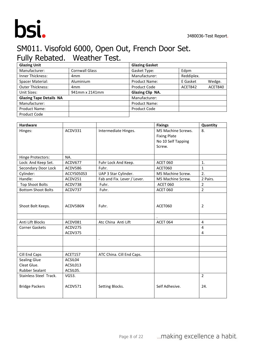



## SM011. Visofold 6000, Open Out, French Door Set. Fully Rebated. Weather Test.

| <b>Glazing Unit</b>            |                       | <b>Glazing Gasket</b> |            |         |
|--------------------------------|-----------------------|-----------------------|------------|---------|
| Manufacturer:                  | <b>Cornwall Glass</b> | Gasket Type:          | Edpm       |         |
| <b>Inner Thickness:</b>        | 4 <sub>mm</sub>       | Manufacturer:         | Reddiplex. |         |
| Spacer Material:               | Aluminium             | <b>Product Name:</b>  | E Gasket   | Wedge.  |
| <b>Outer Thickness:</b>        | 4 <sub>mm</sub>       | Product Code          | ACET842    | ACET840 |
| Unit Sizes:                    | 941mm x 2141mm        | Glazing Clip NA.      |            |         |
| <b>Glazing Tape Details NA</b> |                       | Manufacturer:         |            |         |
| Manufacturer:                  |                       | <b>Product Name:</b>  |            |         |
| <b>Product Name:</b>           |                       | Product Code          |            |         |
| Product Code                   |                       |                       |            |         |

| <b>Hardware</b>           |            |                             | <b>Fixings</b>      | Quantity       |
|---------------------------|------------|-----------------------------|---------------------|----------------|
| Hinges:                   | ACDV331    | Intermediate Hinges.        | M5 Machine Screws.  | 8.             |
|                           |            |                             | <b>Fixing Plate</b> |                |
|                           |            |                             | No 10 Self Tapping  |                |
|                           |            |                             | Screw.              |                |
| Hinge Protectors:         | NA.        |                             |                     |                |
| Lock: And Keep Set.       | ACDV677    | Fuhr Lock And Keep.         | <b>ACET 060</b>     | 1.             |
| Secondary Door Lock       | ACDV586    | Fuhr.                       | ACET060             | $\mathbf{1}$   |
| Cylinder:                 | ACCY5050S3 | UAP 3 Star Cylinder.        | M5 Machine Screw.   | 2.             |
| Handle:                   | ACDV251    | Fab and Fix. Lever / Lever. | M5 Machine Screw.   | 2 Pairs.       |
| <b>Top Shoot Bolts</b>    | ACDV738    | Fuhr.                       | <b>ACET 060</b>     | $\overline{2}$ |
| <b>Bottom Shoot Bolts</b> | ACDV737    | Fuhr.                       | <b>ACET 060</b>     | $\overline{2}$ |
| Shoot Bolt Keeps.         | ACDV586N   | Fuhr.                       | ACET060             | $\overline{2}$ |
| Anti Lift Blocks          | ACDV081    | Atc China Anti Lift         | <b>ACET 064</b>     | $\overline{4}$ |
| <b>Corner Gaskets</b>     | ACDV275    |                             |                     | $\overline{4}$ |
|                           | ACDV375    |                             |                     | 4              |
|                           |            | $\ddot{\phantom{a}}$        |                     |                |
| Cill End Caps             | ACET157    | ATC China. Cill End Caps.   |                     |                |
| <b>Sealing Glue</b>       | ACSIL04    |                             |                     |                |
| Cleat Glue.               | ACSIL013   |                             |                     |                |
| <b>Rubber Sealant</b>     | ACSIL05.   |                             |                     |                |
| Stainless Steel Track.    | VG53.      |                             |                     | $\overline{2}$ |
| <b>Bridge Packers</b>     | ACDV571    | Setting Blocks.             | Self Adhesive.      | 24.            |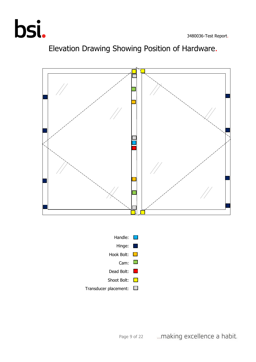



## Elevation Drawing Showing Position of Hardware.

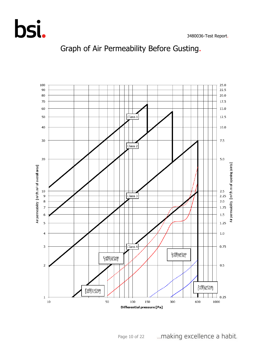



## Graph of Air Permeability Before Gusting.

... making excellence a habit. Page 10 of 22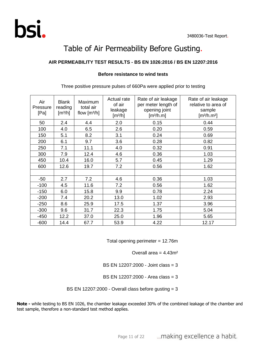## Table of Air Permeability Before Gusting.

#### **AIR PERMEABILITY TEST RESULTS - BS EN 1026:2016 / BS EN 12207:2016**

#### **Before resistance to wind tests**

| Air<br>Pressure<br>[Pa] | <b>Blank</b><br>reading<br>$\left[\frac{m^3}{h}\right]$ | Maximum<br>total air<br>flow $[m3/h]$ | Actual rate<br>of air<br>leakage<br>[m <sup>3</sup> /h] | Rate of air leakage<br>per meter length of<br>opening joint<br>[m <sup>3</sup> /h.m] | Rate of air leakage<br>relative to area of<br>sample<br>[m <sup>3</sup> /h.m <sup>2</sup> ] |
|-------------------------|---------------------------------------------------------|---------------------------------------|---------------------------------------------------------|--------------------------------------------------------------------------------------|---------------------------------------------------------------------------------------------|
| 50                      | 2.4                                                     | 4.4                                   | 2.0                                                     | 0.15                                                                                 | 0.44                                                                                        |
| 100                     | 4.0                                                     | 6.5                                   | 2.6                                                     | 0.20                                                                                 | 0.59                                                                                        |
| 150                     | 5.1                                                     | 8.2                                   | 3.1                                                     | 0.24                                                                                 | 0.69                                                                                        |
| 200                     | 6.1                                                     | 9.7                                   | 3.6                                                     | 0.28                                                                                 | 0.82                                                                                        |
| 250                     | 7.1                                                     | 11.1                                  | 4.0                                                     | 0.32                                                                                 | 0.91                                                                                        |
| 300                     | 7.9                                                     | 12.4                                  | 4.6                                                     | 0.36                                                                                 | 1.03                                                                                        |
| 450                     | 10.4                                                    | 16.0                                  | 5.7                                                     | 0.45                                                                                 | 1.29                                                                                        |
| 600                     | 12.6                                                    | 19.7                                  | 7.2                                                     | 0.56                                                                                 | 1.62                                                                                        |
|                         |                                                         |                                       |                                                         |                                                                                      |                                                                                             |
| $-50$                   | 2.7                                                     | 7.2                                   | 4.6                                                     | 0.36                                                                                 | 1.03                                                                                        |
| $-100$                  | 4.5                                                     | 11.6                                  | 7.2                                                     | 0.56                                                                                 | 1.62                                                                                        |
| $-150$                  | 6.0                                                     | 15.8                                  | 9.9                                                     | 0.78                                                                                 | 2.24                                                                                        |
| $-200$                  | 7.4                                                     | 20.2                                  | 13.0                                                    | 1.02                                                                                 | 2.93                                                                                        |
| $-250$                  | 8.6                                                     | 25.9                                  | 17.5                                                    | 1.37                                                                                 | 3.96                                                                                        |
| $-300$                  | 9.6                                                     | 31.7                                  | 22.3                                                    | 1.75                                                                                 | 5.04                                                                                        |
| $-450$                  | 12.2                                                    | 37.0                                  | 25.0                                                    | 1.96                                                                                 | 5.65                                                                                        |
| $-600$                  | 14.4                                                    | 67.7                                  | 53.9                                                    | 4.22                                                                                 | 12.17                                                                                       |

Three positive pressure pulses of 660Pa were applied prior to testing

Total opening perimeter = 12.76m

Overall area  $= 4.43$ m<sup>2</sup>

BS EN 12207:2000 - Joint class = 3

BS EN 12207:2000 - Area class = 3

BS EN 12207:2000 - Overall class before gusting = 3

**Note -** while testing to BS EN 1026, the chamber leakage exceeded 30% of the combined leakage of the chamber and test sample, therefore a non-standard test method applies.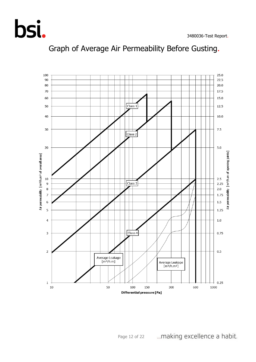

## Graph of Average Air Permeability Before Gusting.

... making excellence a habit. Page 12 of 22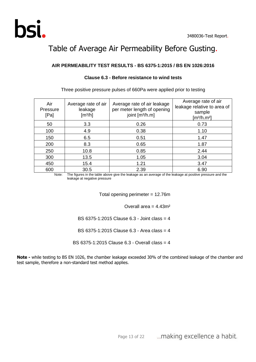

## Table of Average Air Permeability Before Gusting.

#### **AIR PERMEABILITY TEST RESULTS - BS 6375-1:2015 / BS EN 1026:2016**

| Air<br>Pressure<br>[Pa] | Average rate of air<br>leakage<br>$\left[\frac{m^3}{h}\right]$ | Average rate of air leakage<br>per meter length of opening<br>joint [m <sup>3</sup> /h.m] | Average rate of air<br>leakage relative to area of<br>sample<br>$\left[\frac{m^3}{h} \cdot m^2\right]$ |
|-------------------------|----------------------------------------------------------------|-------------------------------------------------------------------------------------------|--------------------------------------------------------------------------------------------------------|
| 50                      | 3.3                                                            | 0.26                                                                                      | 0.73                                                                                                   |
| 100                     | 4.9                                                            | 0.38                                                                                      | 1.10                                                                                                   |
| 150                     | 6.5                                                            | 0.51                                                                                      | 1.47                                                                                                   |
| 200                     | 8.3                                                            | 0.65                                                                                      | 1.87                                                                                                   |
| 250                     | 10.8                                                           | 0.85                                                                                      | 2.44                                                                                                   |
| 300                     | 13.5                                                           | 1.05                                                                                      | 3.04                                                                                                   |
| 450                     | 15.4                                                           | 1.21                                                                                      | 3.47                                                                                                   |
| 600                     | 30.5                                                           | 2.39                                                                                      | 6.90                                                                                                   |

#### **Clause 6.3 - Before resistance to wind tests**

Three positive pressure pulses of 660Pa were applied prior to testing

Note: The figures in the table above give the leakage as an average of the leakage at positive pressure and the leakage at negative pressure

Total opening perimeter = 12.76m

Overall area  $= 4.43$ m<sup>2</sup>

BS 6375-1:2015 Clause 6.3 - Joint class = 4

BS 6375-1:2015 Clause 6.3 - Area class = 4

BS 6375-1:2015 Clause 6.3 - Overall class = 4

**Note -** while testing to BS EN 1026, the chamber leakage exceeded 30% of the combined leakage of the chamber and test sample, therefore a non-standard test method applies.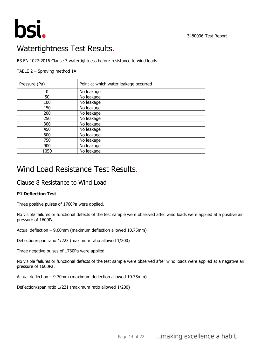

## Watertightness Test Results.

BS EN 1027:2016 Clause 7 watertightness before resistance to wind loads

#### TABLE 2 – Spraying method 1A

| Pressure (Pa) | Point at which water leakage occurred |
|---------------|---------------------------------------|
| 0             | No leakage                            |
| 50            | No leakage                            |
| 100           | No leakage                            |
| 150           | No leakage                            |
| 200           | No leakage                            |
| 250           | No leakage                            |
| 300           | No leakage                            |
| 450           | No leakage                            |
| 600           | No leakage                            |
| 750           | No leakage                            |
| 900           | No leakage                            |
| 1050          | No leakage                            |

## Wind Load Resistance Test Results.

#### Clause 8 Resistance to Wind Load

#### **P1 Deflection Test**

Three positive pulses of 1760Pa were applied.

No visible failures or functional defects of the test sample were observed after wind loads were applied at a positive air pressure of 1600Pa.

Actual deflection – 9.60mm (maximum deflection allowed 10.75mm)

Deflection/span ratio 1/223 (maximum ratio allowed 1/200)

Three negative pulses of 1760Pa were applied.

No visible failures or functional defects of the test sample were observed after wind loads were applied at a negative air pressure of 1600Pa.

Actual deflection – 9.70mm (maximum deflection allowed 10.75mm)

Deflection/span ratio 1/221 (maximum ratio allowed 1/200)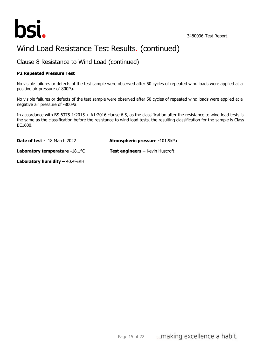

## Wind Load Resistance Test Results. (continued)

Clause 8 Resistance to Wind Load (continued)

#### **P2 Repeated Pressure Test**

No visible failures or defects of the test sample were observed after 50 cycles of repeated wind loads were applied at a positive air pressure of 800Pa.

No visible failures or defects of the test sample were observed after 50 cycles of repeated wind loads were applied at a negative air pressure of -800Pa.

In accordance with BS 6375-1:2015 + A1:2016 clause 6.5, as the classification after the resistance to wind load tests is the same as the classification before the resistance to wind load tests, the resulting classification for the sample is Class BE1600.

**Date of test -** 18 March 2022 **Atmospheric pressure -**101.9kPa

**Laboratory temperature -**18.1°C **Test engineers –** Kevin Huscroft

**Laboratory humidity –** 40.4%RH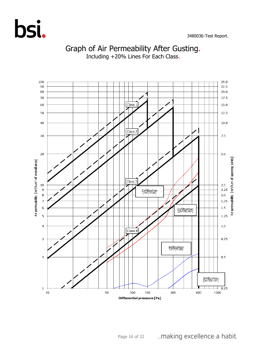



## Graph of Air Permeability After Gusting.

Including +20% Lines For Each Class.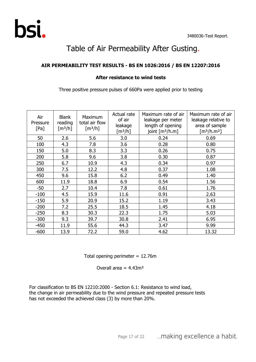## Table of Air Permeability After Gusting.

#### **AIR PERMEABILITY TEST RESULTS - BS EN 1026:2016 / BS EN 12207:2016**

#### **After resistance to wind tests**

Three positive pressure pulses of 660Pa were applied prior to testing

| Air<br>Pressure<br>[Pa] | <b>Blank</b><br>reading<br>[m <sup>3</sup> /h] | Maximum<br>total air flow<br>[m <sup>3</sup> /h] | Actual rate<br>of air<br>leakage<br>[m <sup>3</sup> /h] | Maximum rate of air<br>leakage per meter<br>length of opening<br>joint $[m^3/h.m]$ | Maximum rate of air<br>leakage relative to<br>area of sample<br>[m <sup>3</sup> /h.m <sup>2</sup> ] |
|-------------------------|------------------------------------------------|--------------------------------------------------|---------------------------------------------------------|------------------------------------------------------------------------------------|-----------------------------------------------------------------------------------------------------|
| 50                      | 2.6                                            | 5.6                                              | 3.0                                                     | 0.24                                                                               | 0.69                                                                                                |
| 100                     | 4.3                                            | 7.8                                              | 3.6                                                     | 0.28                                                                               | 0.80                                                                                                |
| 150                     | 5.0                                            | 8.3                                              | 3.3                                                     | 0.26                                                                               | 0.75                                                                                                |
| 200                     | 5.8                                            | 9.6                                              | 3.8                                                     | 0.30                                                                               | 0.87                                                                                                |
| 250                     | 6.7                                            | 10.9                                             | 4.3                                                     | 0.34                                                                               | 0.97                                                                                                |
| 300                     | 7.5                                            | 12.2                                             | 4.8                                                     | 0.37                                                                               | 1.08                                                                                                |
| 450                     | 9.6                                            | 15.8                                             | 6.2                                                     | 0.49                                                                               | 1.40                                                                                                |
| 600                     | 11.9                                           | 18.8                                             | 6.9                                                     | 0.54                                                                               | 1.56                                                                                                |
| $-50$                   | 2.7                                            | 10.4                                             | 7.8                                                     | 0.61                                                                               | 1.76                                                                                                |
| $-100$                  | 4.5                                            | 15.9                                             | 11.6                                                    | 0.91                                                                               | 2.63                                                                                                |
| $-150$                  | 5.9                                            | 20.9                                             | 15.2                                                    | 1.19                                                                               | 3.43                                                                                                |
| $-200$                  | 7.2                                            | 25.5                                             | 18.5                                                    | 1.45                                                                               | 4.18                                                                                                |
| $-250$                  | 8.3                                            | 30.3                                             | 22.3                                                    | 1.75                                                                               | 5.03                                                                                                |
| $-300$                  | 9.3                                            | 39.7                                             | 30.8                                                    | 2.41                                                                               | 6.95                                                                                                |
| $-450$                  | 11.9                                           | 55.6                                             | 44.3                                                    | 3.47                                                                               | 9.99                                                                                                |
| $-600$                  | 13.9                                           | 72.2                                             | 59.0                                                    | 4.62                                                                               | 13.32                                                                                               |

Total opening perimeter  $= 12.76$ m

Overall area  $= 4.43$ m<sup>2</sup>

For classification to BS EN 12210:2000 - Section 6.1: Resistance to wind load, the change in air permeability due to the wind pressure and repeated pressure tests has not exceeded the achieved class (3) by more than 20%.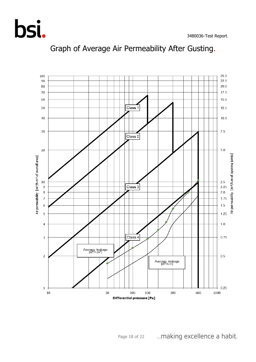



Graph of Average Air Permeability After Gusting.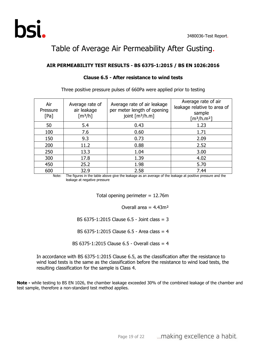

## Table of Average Air Permeability After Gusting.

#### **AIR PERMEABILITY TEST RESULTS - BS 6375-1:2015 / BS EN 1026:2016**

| Air<br>Pressure<br>[Pa] | Average rate of<br>air leakage<br>$\lceil m^3/h \rceil$ | Average rate of air leakage<br>per meter length of opening<br>joint $[m3/h.m]$ | Average rate of air<br>leakage relative to area of<br>sample<br>[m <sup>3</sup> /h.m <sup>2</sup> ] |
|-------------------------|---------------------------------------------------------|--------------------------------------------------------------------------------|-----------------------------------------------------------------------------------------------------|
| 50                      | 5.4                                                     | 0.43                                                                           | 1.23                                                                                                |
| 100                     | 7.6                                                     | 0.60                                                                           | 1.71                                                                                                |
| 150                     | 9.3                                                     | 0.73                                                                           | 2.09                                                                                                |
| 200                     | 11.2                                                    | 0.88                                                                           | 2.52                                                                                                |
| 250                     | 13.3                                                    | 1.04                                                                           | 3.00                                                                                                |
| 300                     | 17.8                                                    | 1.39                                                                           | 4.02                                                                                                |
| 450                     | 25.2                                                    | 1.98                                                                           | 5.70                                                                                                |
| 600                     | 32.9                                                    | 2.58                                                                           | 7.44                                                                                                |

#### **Clause 6.5 - After resistance to wind tests**

Three positive pressure pulses of 660Pa were applied prior to testing

Note: The figures in the table above give the leakage as an average of the leakage at positive pressure and the leakage at negative pressure

Total opening perimeter  $= 12.76$ m

Overall area =  $4.43m<sup>2</sup>$ 

BS 6375-1:2015 Clause 6.5 - Joint class = 3

BS 6375-1:2015 Clause 6.5 - Area class = 4

BS 6375-1:2015 Clause 6.5 - Overall class = 4

In accordance with BS 6375-1:2015 Clause 6.5, as the classification after the resistance to wind load tests is the same as the classification before the resistance to wind load tests, the resulting classification for the sample is Class 4.

**Note -** while testing to BS EN 1026, the chamber leakage exceeded 30% of the combined leakage of the chamber and test sample, therefore a non-standard test method applies.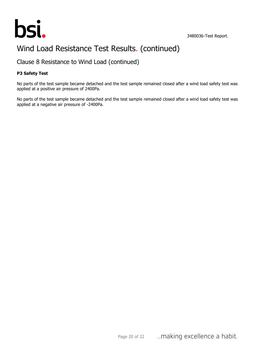

## Wind Load Resistance Test Results. (continued)

Clause 8 Resistance to Wind Load (continued)

#### **P3 Safety Test**

No parts of the test sample became detached and the test sample remained closed after a wind load safety test was applied at a positive air pressure of 2400Pa.

No parts of the test sample became detached and the test sample remained closed after a wind load safety test was applied at a negative air pressure of -2400Pa.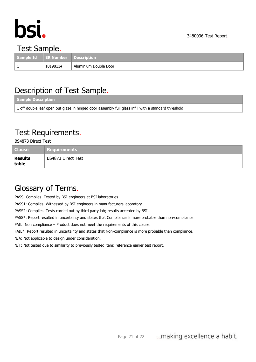

## Test Sample.

| Sample Id ER Number Description |          |                       |
|---------------------------------|----------|-----------------------|
|                                 | 10198114 | Aluminium Double Door |

## Description of Test Sample.

| Sample Description                                                                                   |  |
|------------------------------------------------------------------------------------------------------|--|
| 1 off double leaf open out glaze in hinged door assembly full glass infill with a standard threshold |  |

## Test Requirements.

BS4873 Direct Test

| <b>Clause</b>           | <b>Requirements</b> |
|-------------------------|---------------------|
| <b>Results</b><br>table | BS4873 Direct Test  |

## Glossary of Terms.

PASS: Complies. Tested by BSI engineers at BSI laboratories.

PASS1: Complies. Witnessed by BSI engineers in manufacturers laboratory.

PASS2: Complies. Tests carried out by third party lab; results accepted by BSI.

PASS\*: Report resulted in uncertainty and states that Compliance is more probable than non-compliance.

FAIL: Non compliance – Product does not meet the requirements of this clause.

FAIL\*: Report resulted in uncertainty and states that Non-compliance is more probable than compliance.

N/A: Not applicable to design under consideration.

N/T: Not tested due to similarity to previously tested item; reference earlier test report.